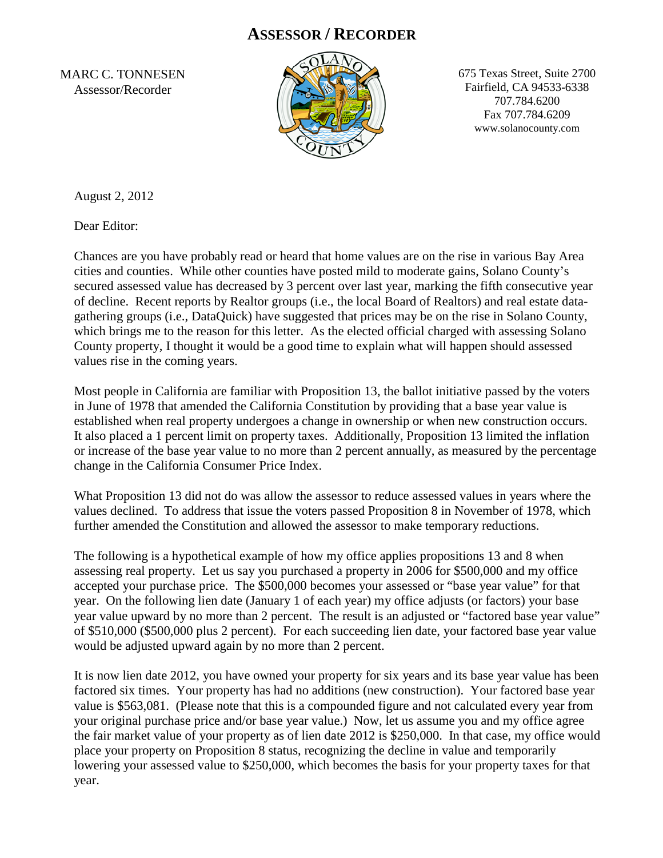## **ASSESSOR / RECORDER**

MARC C. TONNESEN Assessor/Recorder



675 Texas Street, Suite 2700 Fairfield, CA 94533-6338 707.784.6200 Fax 707.784.6209 www.solanocounty.com

August 2, 2012

Dear Editor:

Chances are you have probably read or heard that home values are on the rise in various Bay Area cities and counties. While other counties have posted mild to moderate gains, Solano County's secured assessed value has decreased by 3 percent over last year, marking the fifth consecutive year of decline. Recent reports by Realtor groups (i.e., the local Board of Realtors) and real estate datagathering groups (i.e., DataQuick) have suggested that prices may be on the rise in Solano County, which brings me to the reason for this letter. As the elected official charged with assessing Solano County property, I thought it would be a good time to explain what will happen should assessed values rise in the coming years.

Most people in California are familiar with Proposition 13, the ballot initiative passed by the voters in June of 1978 that amended the California Constitution by providing that a base year value is established when real property undergoes a change in ownership or when new construction occurs. It also placed a 1 percent limit on property taxes. Additionally, Proposition 13 limited the inflation or increase of the base year value to no more than 2 percent annually, as measured by the percentage change in the California Consumer Price Index.

What Proposition 13 did not do was allow the assessor to reduce assessed values in years where the values declined. To address that issue the voters passed Proposition 8 in November of 1978, which further amended the Constitution and allowed the assessor to make temporary reductions.

The following is a hypothetical example of how my office applies propositions 13 and 8 when assessing real property. Let us say you purchased a property in 2006 for \$500,000 and my office accepted your purchase price. The \$500,000 becomes your assessed or "base year value" for that year. On the following lien date (January 1 of each year) my office adjusts (or factors) your base year value upward by no more than 2 percent. The result is an adjusted or "factored base year value" of \$510,000 (\$500,000 plus 2 percent). For each succeeding lien date, your factored base year value would be adjusted upward again by no more than 2 percent.

It is now lien date 2012, you have owned your property for six years and its base year value has been factored six times. Your property has had no additions (new construction). Your factored base year value is \$563,081. (Please note that this is a compounded figure and not calculated every year from your original purchase price and/or base year value.) Now, let us assume you and my office agree the fair market value of your property as of lien date 2012 is \$250,000. In that case, my office would place your property on Proposition 8 status, recognizing the decline in value and temporarily lowering your assessed value to \$250,000, which becomes the basis for your property taxes for that year.